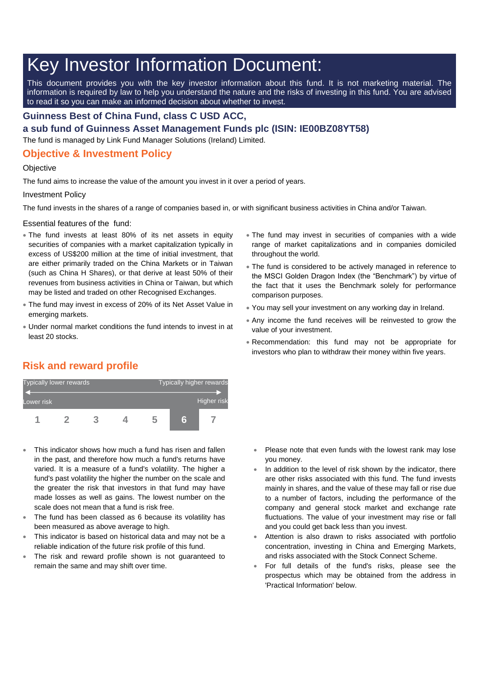# Key Investor Information Document:

This document provides you with the key investor information about this fund. It is not marketing material. The information is required by law to help you understand the nature and the risks of investing in this fund. You are advised to read it so you can make an informed decision about whether to invest.

### **Guinness Best of China Fund, class C USD ACC,**

**a sub fund of Guinness Asset Management Funds plc (ISIN: IE00BZ08YT58)**

The fund is managed by Link Fund Manager Solutions (Ireland) Limited.

## **Objective & Investment Policy**

#### **Objective**

The fund aims to increase the value of the amount you invest in it over a period of years.

#### Investment Policy

The fund invests in the shares of a range of companies based in, or with significant business activities in China and/or Taiwan.

Essential features of the fund:

- The fund invests at least 80% of its net assets in equity securities of companies with a market capitalization typically in excess of US\$200 million at the time of initial investment, that are either primarily traded on the China Markets or in Taiwan (such as China H Shares), or that derive at least 50% of their revenues from business activities in China or Taiwan, but which may be listed and traded on other Recognised Exchanges.
- The fund may invest in excess of 20% of its Net Asset Value in emerging markets.
- Under normal market conditions the fund intends to invest in at least 20 stocks.
- The fund may invest in securities of companies with a wide range of market capitalizations and in companies domiciled throughout the world.
- The fund is considered to be actively managed in reference to the MSCI Golden Dragon Index (the "Benchmark") by virtue of the fact that it uses the Benchmark solely for performance comparison purposes.
- You may sell your investment on any working day in Ireland.
- Any income the fund receives will be reinvested to grow the value of your investment.
- Recommendation: this fund may not be appropriate for investors who plan to withdraw their money within five years.

# **Risk and reward profile**



- This indicator shows how much a fund has risen and fallen in the past, and therefore how much a fund's returns have varied. It is a measure of a fund's volatility. The higher a fund's past volatility the higher the number on the scale and the greater the risk that investors in that fund may have made losses as well as gains. The lowest number on the scale does not mean that a fund is risk free.
- The fund has been classed as 6 because its volatility has been measured as above average to high.
- This indicator is based on historical data and may not be a reliable indication of the future risk profile of this fund.
- The risk and reward profile shown is not guaranteed to remain the same and may shift over time.
- Please note that even funds with the lowest rank may lose you money.
- In addition to the level of risk shown by the indicator, there are other risks associated with this fund. The fund invests mainly in shares, and the value of these may fall or rise due to a number of factors, including the performance of the company and general stock market and exchange rate fluctuations. The value of your investment may rise or fall and you could get back less than you invest.
- Attention is also drawn to risks associated with portfolio concentration, investing in China and Emerging Markets, and risks associated with the Stock Connect Scheme.
- For full details of the fund's risks, please see the prospectus which may be obtained from the address in 'Practical Information' below.